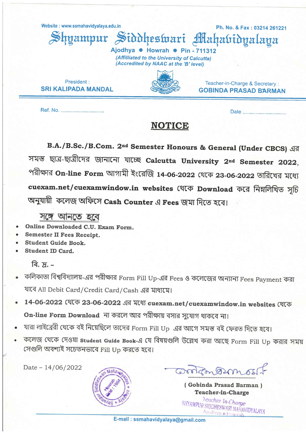Website: www.ssmahavidyalaya.edu.in

mamnur

Ph. No. & Fax: 03214 261221

Teacher-in-Charge & Secretary:

**GOBINDA PRASAD BARMAN** 

Siddheswari Mahabidvalava

Aiodhya . Howrah . Pin - 711312 (Affilliated to the University of Calcutta) (Accredited by NAAC at the 'B' level)

President: **SRI KALIPADA MANDAL** 

Ref. No. .........................

## **NOTICE**

B.A./B.Sc./B.Com. 2<sup>nd</sup> Semester Honours & General (Under CBCS) এর সমস্ত ছাত্র-ছাত্রীদের জানানো যাচ্ছে Calcutta University 2nd Semester 2022, পরীক্ষার On-line Form আগামী ইংরেজি 14-06-2022 থেকে 23-06-2022 তারিখের মধ্যে cuexam.net/cuexamwindow.in websites থেকে Download করে নিম্নলিখিত সৃচি অনুযায়ী কলেজ অফিসে Cash Counter এ Fees জমা দিতে হবে।

সঙ্গে আনতে হবে

- Online Downloaded C.U. Exam Form.
- **Semester II Fees Receipt.**
- **Student Guide Book.**
- **Student ID Card.**

বি.  $\pi$ . –

- কলিকাতা বিশ্ববিদ্যালয়-এর পরীক্ষার Form Fill Up-এর Fees ও কলেজের অন্যান্য Fees Payment করা যাবে All Debit Card/Credit Card/Cash এর মাধ্যমে।
- 14-06-2022 (शत्क 23-06-2022 এর মধ্যে cuexam.net/cuexamwindow.in websites থেকে On-line Form Download না করলে আর পরীক্ষায় বসার সুযোগ থাকবে না।
- যারা লাইব্রেরী থেকে বই নিয়েছিলে তাদের Form Fill Up এর আগে সমস্ত বই ফেরত দিতে হবে।
- কলেজ থেকে দেওয়া student Guide Book-এ যে বিষয়গুলি উল্লেখ করা আছে Form Fill Up করার সময় সেগুলি অবশ্যই সচেতনভাবে Fill Up করতে হবে।

Date  $-14/06/2022$ 



contron 2mos

(Gobinda Prasad Barman) **Teacher-in-Charge** 

leacher In-Charge SHYAMPUR SIDDHESWARI MAHAVIDYALAYA Ajodhva e Howrah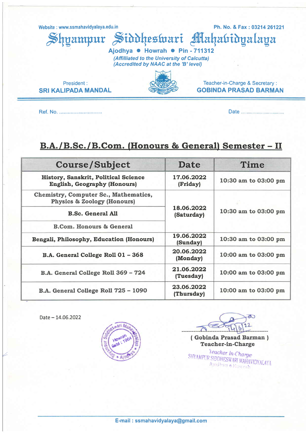Website : www.ssmahavidyalaya.edu.in Ph. No. & Fax : 03214 261221

hyampur Siddheswari Mahabidyalaya

Ajodhya • Howrah • Pin - 711312 (Affilliated to the University of Calcutta) (Accredited by NAAC at the 'B' level)

President: SRI KALIPADA MANDAL

GOBINDA PRASAD BARMAN

Teacher-in-Charge & Secretary :

Ref. No. Date

## B.A./B.Sc./B.Com. (Honours & General) Semester - II

| <b>Course/Subject</b>                                                              | <b>Date</b>              | Time                 |
|------------------------------------------------------------------------------------|--------------------------|----------------------|
| <b>History, Sanskrit, Political Science</b><br><b>English, Geography (Honours)</b> | 17.06.2022<br>(Friday)   | 10:30 am to 03:00 pm |
| Chemistry, Computer Sc., Mathematics,<br><b>Physics &amp; Zoology (Honours)</b>    | 18.06.2022<br>(Saturday) | 10:30 am to 03:00 pm |
| <b>B.Sc. General All</b>                                                           |                          |                      |
| <b>B.Com. Honours &amp; General</b>                                                |                          |                      |
| Bengali, Philosophy, Education (Honours)                                           | 19.06.2022<br>(Sunday)   | 10:30 am to 03:00 pm |
| B.A. General College Roll 01 - 368                                                 | 20.06.2022<br>(Monday)   | 10:00 am to 03:00 pm |
| B.A. General College Roll 369 - 724                                                | 21.06.2022<br>(Tuesday)  | 10:00 am to 03:00 pm |
| B.A. General College Roll 725 - 1090                                               | 23.06.2022<br>(Thursday) | 10:00 am to 03:00 pm |

Date - 14.06.2022

Z



 $\infty$ 22 Ь

( Gobinda Prasad Barman <sup>I</sup> Teacher-in-Charge

**NAMPUR SIDDHES** WARI MAHAVIDYALAYA<br>Odiowana